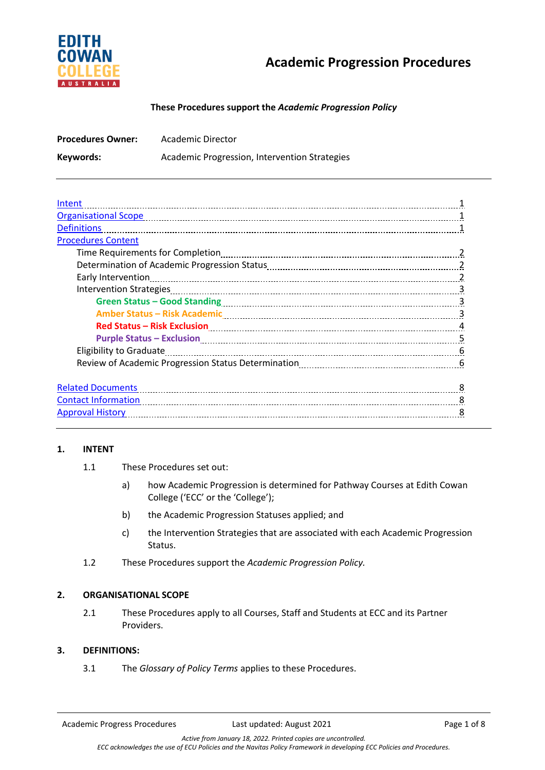

# **These Procedures support the** *Academic Progression Policy*

| <b>Procedures Owner:</b> | Academic Director                             |
|--------------------------|-----------------------------------------------|
| Keywords:                | Academic Progression, Intervention Strategies |

| Intent                                                                                                         |    |
|----------------------------------------------------------------------------------------------------------------|----|
| <b>Organisational Scope</b>                                                                                    |    |
| <b>Definitions</b>                                                                                             |    |
| <b>Procedures Content</b>                                                                                      |    |
|                                                                                                                |    |
|                                                                                                                |    |
| Early Intervention                                                                                             |    |
|                                                                                                                |    |
|                                                                                                                |    |
| Amber Status - Risk Academic Manuscrittis and Amber Status - Risk Academic                                     | 3  |
|                                                                                                                | 4  |
| Purple Status - Exclusion Manuscritti and Contract Contract of Contract Contract Contract Contract Contract Co | 5  |
|                                                                                                                | 6  |
|                                                                                                                | -6 |
|                                                                                                                |    |
| <b>Related Documents</b>                                                                                       | 8  |
| Contact Information <b>Material Contract Information Contact Information Contact Information</b>               | 8  |
| <b>Approval History</b>                                                                                        |    |
|                                                                                                                |    |

### **1. INTENT**

- 1.1 These Procedures set out:
	- a) how Academic Progression is determined for Pathway Courses at Edith Cowan College ('ECC' or the 'College');
	- b) the Academic Progression Statuses applied; and
	- c) the Intervention Strategies that are associated with each Academic Progression Status.
- 1.2 These Procedures support the *Academic Progression Policy.*

# **2. ORGANISATIONAL SCOPE**

2.1 These Procedures apply to all Courses, Staff and Students at ECC and its Partner Providers.

### **3. DEFINITIONS:**

3.1 The *Glossary of Policy Terms* applies to these Procedures.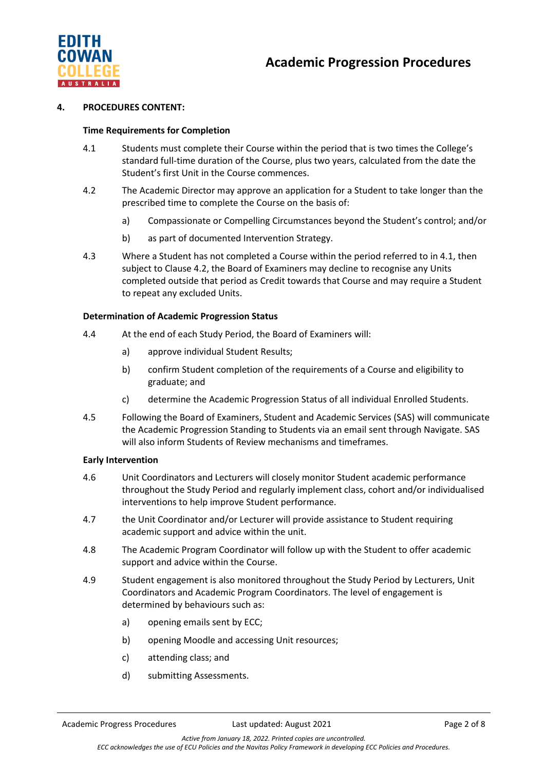



### **4. PROCEDURES CONTENT:**

### **Time Requirements for Completion**

- 4.1 Students must complete their Course within the period that is two times the College's standard full-time duration of the Course, plus two years, calculated from the date the Student's first Unit in the Course commences.
- 4.2 The Academic Director may approve an application for a Student to take longer than the prescribed time to complete the Course on the basis of:
	- a) Compassionate or Compelling Circumstances beyond the Student's control; and/or
	- b) as part of documented Intervention Strategy.
- 4.3 Where a Student has not completed a Course within the period referred to in 4.1, then subject to Clause 4.2, the Board of Examiners may decline to recognise any Units completed outside that period as Credit towards that Course and may require a Student to repeat any excluded Units.

## **Determination of Academic Progression Status**

- 4.4 At the end of each Study Period, the Board of Examiners will:
	- a) approve individual Student Results;
	- b) confirm Student completion of the requirements of a Course and eligibility to graduate; and
	- c) determine the Academic Progression Status of all individual Enrolled Students.
- 4.5 Following the Board of Examiners, Student and Academic Services (SAS) will communicate the Academic Progression Standing to Students via an email sent through Navigate. SAS will also inform Students of Review mechanisms and timeframes.

### **Early Intervention**

- 4.6 Unit Coordinators and Lecturers will closely monitor Student academic performance throughout the Study Period and regularly implement class, cohort and/or individualised interventions to help improve Student performance.
- 4.7 the Unit Coordinator and/or Lecturer will provide assistance to Student requiring academic support and advice within the unit.
- 4.8 The Academic Program Coordinator will follow up with the Student to offer academic support and advice within the Course.
- 4.9 Student engagement is also monitored throughout the Study Period by Lecturers, Unit Coordinators and Academic Program Coordinators. The level of engagement is determined by behaviours such as:
	- a) opening emails sent by ECC;
	- b) opening Moodle and accessing Unit resources;
	- c) attending class; and
	- d) submitting Assessments.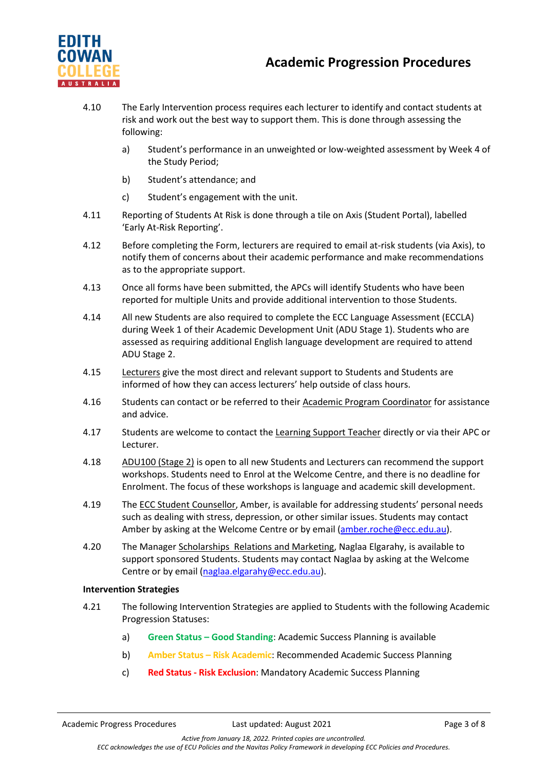

- 4.10 The Early Intervention process requires each lecturer to identify and contact students at risk and work out the best way to support them. This is done through assessing the following:
	- a) Student's performance in an unweighted or low-weighted assessment by Week 4 of the Study Period;
	- b) Student's attendance; and
	- c) Student's engagement with the unit.
- 4.11 Reporting of Students At Risk is done through a tile on Axis (Student Portal), labelled 'Early At-Risk Reporting'.
- 4.12 Before completing the Form, lecturers are required to email at-risk students (via Axis), to notify them of concerns about their academic performance and make recommendations as to the appropriate support.
- 4.13 Once all forms have been submitted, the APCs will identify Students who have been reported for multiple Units and provide additional intervention to those Students.
- 4.14 All new Students are also required to complete the ECC Language Assessment (ECCLA) during Week 1 of their Academic Development Unit (ADU Stage 1). Students who are assessed as requiring additional English language development are required to attend ADU Stage 2.
- 4.15 Lecturers give the most direct and relevant support to Students and Students are informed of how they can access lecturers' help outside of class hours.
- 4.16 Students can contact or be referred to their Academic Program Coordinator for assistance and advice.
- 4.17 Students are welcome to contact the Learning Support Teacher directly or via their APC or Lecturer.
- 4.18 ADU100 (Stage 2) is open to all new Students and Lecturers can recommend the support workshops. Students need to Enrol at the Welcome Centre, and there is no deadline for Enrolment. The focus of these workshops is language and academic skill development.
- 4.19 The ECC Student Counsellor, Amber, is available for addressing students' personal needs such as dealing with stress, depression, or other similar issues. Students may contact Amber by asking at the Welcome Centre or by email [\(amber.roche@ecc.edu.au\)](mailto:amber.roche@ecc.edu.au).
- 4.20 The Manager Scholarships Relations and Marketing, Naglaa Elgarahy, is available to support sponsored Students. Students may contact Naglaa by asking at the Welcome Centre or by email [\(naglaa.elgarahy@ecc.edu.au\)](mailto:naglaa.elgarahy@ecc.edu.au).

### **Intervention Strategies**

- 4.21 The following Intervention Strategies are applied to Students with the following Academic Progression Statuses:
	- a) **Green Status – Good Standing**: Academic Success Planning is available
	- b) **Amber Status – Risk Academic**: Recommended Academic Success Planning
	- c) **Red Status - Risk Exclusion**: Mandatory Academic Success Planning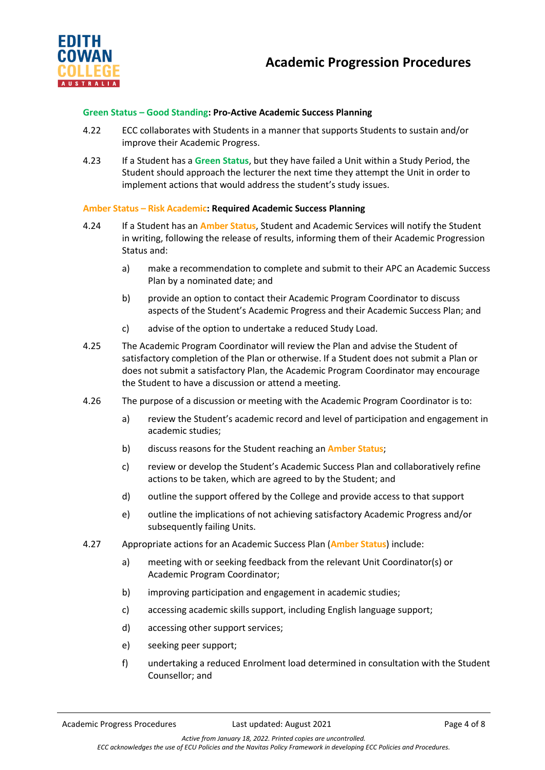

# **Green Status – Good Standing: Pro-Active Academic Success Planning**

- 4.22 ECC collaborates with Students in a manner that supports Students to sustain and/or improve their Academic Progress.
- 4.23 If a Student has a **Green Status**, but they have failed a Unit within a Study Period, the Student should approach the lecturer the next time they attempt the Unit in order to implement actions that would address the student's study issues.

# **Amber Status – Risk Academic: Required Academic Success Planning**

- 4.24 If a Student has an **Amber Status**, Student and Academic Services will notify the Student in writing, following the release of results, informing them of their Academic Progression Status and:
	- a) make a recommendation to complete and submit to their APC an Academic Success Plan by a nominated date; and
	- b) provide an option to contact their Academic Program Coordinator to discuss aspects of the Student's Academic Progress and their Academic Success Plan; and
	- c) advise of the option to undertake a reduced Study Load.
- 4.25 The Academic Program Coordinator will review the Plan and advise the Student of satisfactory completion of the Plan or otherwise. If a Student does not submit a Plan or does not submit a satisfactory Plan, the Academic Program Coordinator may encourage the Student to have a discussion or attend a meeting.
- 4.26 The purpose of a discussion or meeting with the Academic Program Coordinator is to:
	- a) review the Student's academic record and level of participation and engagement in academic studies;
	- b) discuss reasons for the Student reaching an **Amber Status**;
	- c) review or develop the Student's Academic Success Plan and collaboratively refine actions to be taken, which are agreed to by the Student; and
	- d) outline the support offered by the College and provide access to that support
	- e) outline the implications of not achieving satisfactory Academic Progress and/or subsequently failing Units.
- 4.27 Appropriate actions for an Academic Success Plan (**Amber Status**) include:
	- a) meeting with or seeking feedback from the relevant Unit Coordinator(s) or Academic Program Coordinator;
	- b) improving participation and engagement in academic studies;
	- c) accessing academic skills support, including English language support;
	- d) accessing other support services;
	- e) seeking peer support;
	- f) undertaking a reduced Enrolment load determined in consultation with the Student Counsellor; and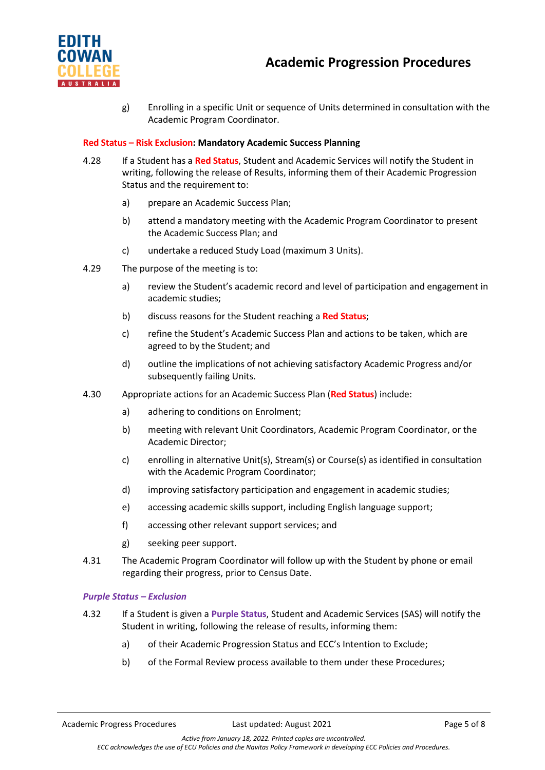



g) Enrolling in a specific Unit or sequence of Units determined in consultation with the Academic Program Coordinator.

# **Red Status – Risk Exclusion: Mandatory Academic Success Planning**

- 4.28 If a Student has a **Red Status**, Student and Academic Services will notify the Student in writing, following the release of Results, informing them of their Academic Progression Status and the requirement to:
	- a) prepare an Academic Success Plan;
	- b) attend a mandatory meeting with the Academic Program Coordinator to present the Academic Success Plan; and
	- c) undertake a reduced Study Load (maximum 3 Units).
- 4.29 The purpose of the meeting is to:
	- a) review the Student's academic record and level of participation and engagement in academic studies;
	- b) discuss reasons for the Student reaching a **Red Status**;
	- c) refine the Student's Academic Success Plan and actions to be taken, which are agreed to by the Student; and
	- d) outline the implications of not achieving satisfactory Academic Progress and/or subsequently failing Units.
- 4.30 Appropriate actions for an Academic Success Plan (**Red Status**) include:
	- a) adhering to conditions on Enrolment;
	- b) meeting with relevant Unit Coordinators, Academic Program Coordinator, or the Academic Director;
	- c) enrolling in alternative Unit(s), Stream(s) or Course(s) as identified in consultation with the Academic Program Coordinator;
	- d) improving satisfactory participation and engagement in academic studies;
	- e) accessing academic skills support, including English language support;
	- f) accessing other relevant support services; and
	- g) seeking peer support.
- 4.31 The Academic Program Coordinator will follow up with the Student by phone or email regarding their progress, prior to Census Date.

### *Purple Status – Exclusion*

- 4.32 If a Student is given a **Purple Status**, Student and Academic Services (SAS) will notify the Student in writing, following the release of results, informing them:
	- a) of their Academic Progression Status and ECC's Intention to Exclude;
	- b) of the Formal Review process available to them under these Procedures;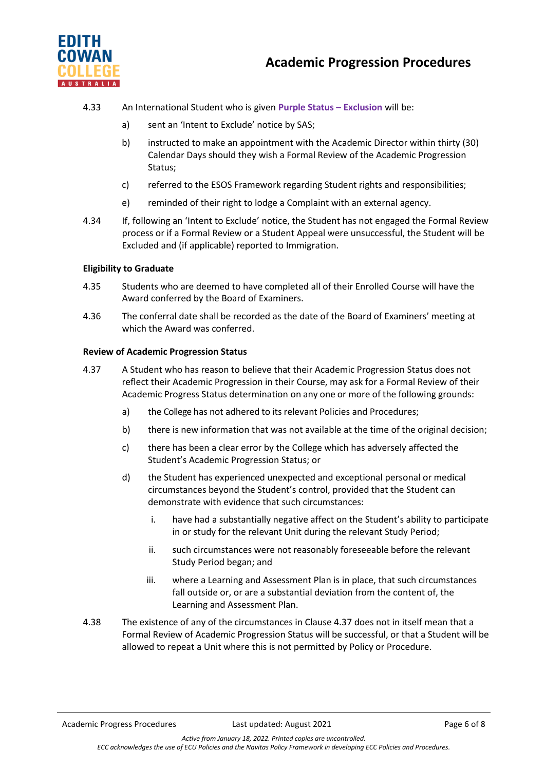

- 4.33 An International Student who is given **Purple Status – Exclusion** will be:
	- a) sent an 'Intent to Exclude' notice by SAS;
	- b) instructed to make an appointment with the Academic Director within thirty (30) Calendar Days should they wish a Formal Review of the Academic Progression Status;
	- c) referred to the ESOS Framework regarding Student rights and responsibilities;
	- e) reminded of their right to lodge a Complaint with an external agency.
- 4.34 If, following an 'Intent to Exclude' notice, the Student has not engaged the Formal Review process or if a Formal Review or a Student Appeal were unsuccessful, the Student will be Excluded and (if applicable) reported to Immigration.

### **Eligibility to Graduate**

- 4.35 Students who are deemed to have completed all of their Enrolled Course will have the Award conferred by the Board of Examiners.
- 4.36 The conferral date shall be recorded as the date of the Board of Examiners' meeting at which the Award was conferred.

#### **Review of Academic Progression Status**

- 4.37 A Student who has reason to believe that their Academic Progression Status does not reflect their Academic Progression in their Course, may ask for a Formal Review of their Academic Progress Status determination on any one or more of the following grounds:
	- a) the College has not adhered to its relevant Policies and Procedures;
	- b) there is new information that was not available at the time of the original decision;
	- c) there has been a clear error by the College which has adversely affected the Student's Academic Progression Status; or
	- d) the Student has experienced unexpected and exceptional personal or medical circumstances beyond the Student's control, provided that the Student can demonstrate with evidence that such circumstances:
		- i. have had a substantially negative affect on the Student's ability to participate in or study for the relevant Unit during the relevant Study Period;
		- ii. such circumstances were not reasonably foreseeable before the relevant Study Period began; and
		- iii. where a Learning and Assessment Plan is in place, that such circumstances fall outside or, or are a substantial deviation from the content of, the Learning and Assessment Plan.
- 4.38 The existence of any of the circumstances in Clause 4.37 does not in itself mean that a Formal Review of Academic Progression Status will be successful, or that a Student will be allowed to repeat a Unit where this is not permitted by Policy or Procedure.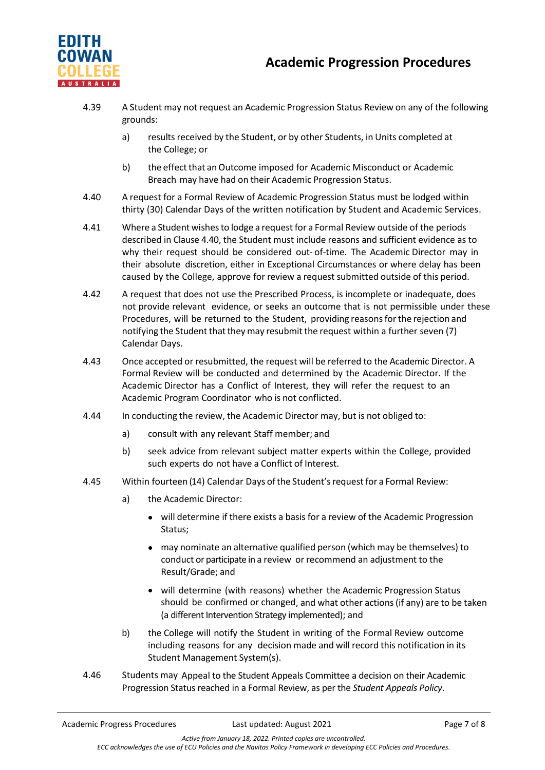



- 4.39 A Student may not request an Academic Progression Status Review on any of the following grounds:
	- a) results received by the Student, or by other Students, in Units completed at the College; or
	- b) the effect that an Outcome imposed for Academic Misconduct or Academic Breach may have had on their Academic Progression Status.
- 4.40 A request for a Formal Review of Academic Progression Status must be lodged within thirty (30) Calendar Days of the written notification by Student and Academic Services.
- 4.41 Where a Student wishesto lodge a request for a Formal Review outside of the periods described in Clause 4.40, the Student must include reasons and sufficient evidence as to why their request should be considered out- of-time. The Academic Director may in their absolute discretion, either in Exceptional Circumstances or where delay has been caused by the College, approve for review a request submitted outside of this period.
- 4.42 A request that does not use the Prescribed Process, is incomplete or inadequate, does not provide relevant evidence, or seeks an outcome that is not permissible under these Procedures, will be returned to the Student, providing reasonsforthe rejection and notifying the Student that they may resubmit the request within a further seven (7) Calendar Days.
- 4.43 Once accepted or resubmitted, the request will be referred to the Academic Director. A Formal Review will be conducted and determined by the Academic Director. If the Academic Director has a Conflict of Interest, they will refer the request to an Academic Program Coordinator who is not conflicted.
- 4.44 In conducting the review, the Academic Director may, but is not obliged to:
	- a) consult with any relevant Staff member; and
	- b) seek advice from relevant subject matter experts within the College, provided such experts do not have a Conflict of Interest.
- 4.45 Within fourteen (14) Calendar Days ofthe Student'srequest for a Formal Review:
	- a) the Academic Director:
		- will determine if there exists a basis for a review of the Academic Progression Status;
		- may nominate an alternative qualified person (which may be themselves) to conduct or participate in a review or recommend an adjustment to the Result/Grade; and
		- will determine (with reasons) whether the Academic Progression Status should be confirmed or changed, and what other actions (if any) are to be taken (a different Intervention Strategy implemented); and
	- b) the College will notify the Student in writing of the Formal Review outcome including reasons for any decision made and will record this notification in its Student Management System(s).
- 4.46 Students may Appeal to the Student Appeals Committee a decision on their Academic Progression Status reached in a Formal Review, as per the *Student Appeals Policy*.